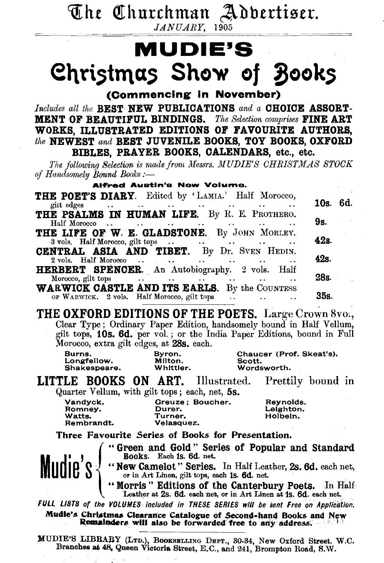The Churchman Adbertiser.  $JANUARY$ , 1905

## MUDIE'S Christmas Show of Books

(Commencing in November)

Includes all the BEST NEW PUBLICATIONS and a CHOICE ASSORT-**MENT OF BEAUTIFUL BINDINGS.** The Selection comprises **FINE ART** WORKS, ILLUSTRATED EDITIONS OF FAVOURITE AUTHORS, the NEWEST and BEST JUVENILE BOOKS. TOY BOOKS, OXFORD BIBLES, PRAYER BOOKS, CALENDARS, etc., etc.

The following Selection is made from Messrs. MUDIE'S CHRISTMAS STOCK of Handsomely Bound Books :-

**Alfred Austin's New Volume.** 

| THE POET'S DIARY. Edited by 'LAMIA.' Half Morocco,                                                                                                                                                                                           | 10s. 6d. |
|----------------------------------------------------------------------------------------------------------------------------------------------------------------------------------------------------------------------------------------------|----------|
| gilt edges<br>and the season of the season of the season of the season of the season of the season of the season of the season of the season of the season of the season of the season of the season of the season of the season of the seas |          |
| THE PSALMS IN HUMAN LIFE. By R. E. PROTHERO.<br>Half Morocco<br>the contract of the contract of the contract of                                                                                                                              | 9s.      |
| THE LIFE OF W. E. GLADSTONE. By JOHN MORLEY.<br>$-3$ vols. Half Morocco, gilt tops $\cdots$ $\cdots$ $\cdots$                                                                                                                                | 42s      |
| <b>CENTRAL ASIA AND TIBET.</b> By Dr. SVEN HEDIN.                                                                                                                                                                                            | 42s.     |
| HERBERT SPENCER. An Autobiography. 2 vols. Half                                                                                                                                                                                              | 28s.     |
| <b>WARWICK CASTLE AND ITS EARLS.</b> By the COUNTESS<br>OF WARWICK, 2 vols. Half Morocco, gilt tops                                                                                                                                          | 35s.     |

THE OXFORD EDITIONS OF THE POETS. Large Crown 8vo., Clear Type; Ordinary Paper Edition, handsomely bound in Half Vellum, gilt tops, 10s. 6d. per vol.; or the India Paper Editions, bound in Full Morocco, extra gilt edges, at 28s. each.

| Burns.       | Byron.    | Chaucer (Prof. Skeat's). |
|--------------|-----------|--------------------------|
| Longfellow.  | Milton.   | Scott.                   |
| Shakespeare. | Whittier. | Wordsworth.              |

**LITTLE BOOKS ON ART.** Illustrated. Prettily bound in Quarter Vellum, with gilt tops; each, net, 5s.

Vandyck. Greuze: Boucher. Reynolds. Romney. Durer. Leighton. Watts. Turner. Holbein. Rembrandt. Velasquez.

Three Favourite Series of Books for Presentation.

"Green and Gold" Series of Popular and Standard<br>Books. Each is. 6d. net.



FULL LISTS of the YOLUMES included in THESE SERIES will be sent Free on Application.

Mudie's Christmas Clearance Catalogue of Second-hand Books and New<br>Remainders will also be forwarded free to any address.

MUDIE'S LIBBARY (LTD.), BOOKSELLING DEPT., 30-34, New Oxford Street. W.C.<br>Branches at 48, Queen Victoria Street, E.C., and 241, Brompton Road, S.W.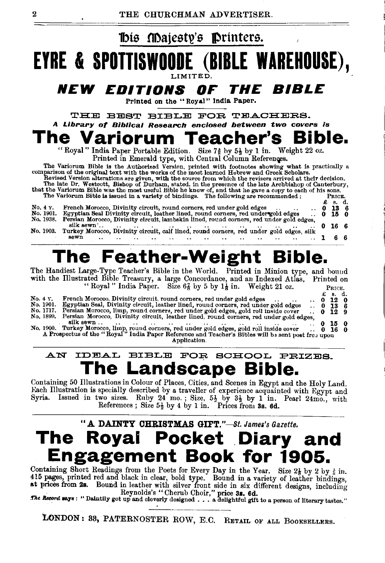

### AN IDEAL BIBLE FOR SCHOOL PRIZES. **The Landscape Bible.**<br>Containing 50 Illustrations in Colour of Places, Cities, and Scenes in Egypt and the Holy Land.

Each Illustration is specially described by a traveller of experience acquainted with Egypt and Syria. Issued in two sizes. Ruby 24 mo.; Size,  $5\frac{1}{2}$  by  $3\frac{1}{2}$  by 1 in. Pearl 24mo., with References; Size  $5\frac{1}{2}$  by 4 by 1 in. Prices from 3s. 6d.

### "A DAINTY CHRISTMAS GIFT."-St. *James's Gazette.*  **The Royal Pocket Diary and Engagement Book for 1905.**

Containing Short Readings from the Poets for Every Day in the Year. Size 21 by 2 by 3 in.<br>415 pages, printed red and black in clear, bold type. Bound in a variety of leather bindings, at prices from 2s. Bound in leather with silver front side in six different designs, including<br>Reynolds's "Cherub Choir," price 3s. 6d.

The Record says: "Daintily got up and cleverly designed . . . a delightful gift to a person of literary tastes."

LONDON: 38, PATERNOSTER ROW, E.C. RETAIL OF ALL BOOKSELLERS.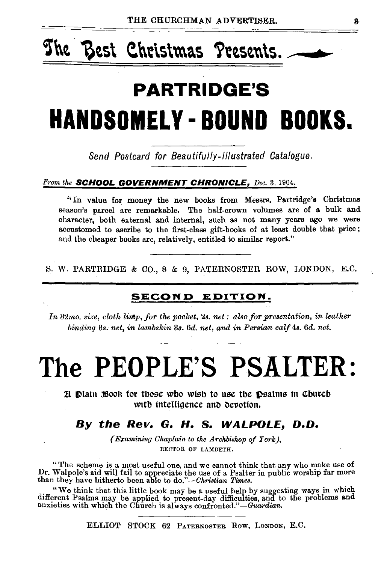# The Best Christmas Presents.

# **PARTRIDGE'S HANDSOMELY-BOUND BOOKS.**

Send Postcard for Beautifully-Illustrated Catalogue.

#### From the **SCHOOL GOVERNMENT CHRONICLE,** Dec. 3, 1904.

"In value for money the new books from Messrs. Partridge's Christmas season's parcel are remarkable. The half-crown volumes are of a. bulk and character, both external and internal, such as not many years ago we were accustomed to ascribe to the first-class gift-books of at least double that price; and the cheaper books are, relatively, entitled to similar report."

S. W. PARTRIDGE & CO., 8 & 9, PATERNOSTER ROW, LONDON, E.C.

#### **SECOND EDITION.**

*In* 32mo, size, cloth limp, for the pocket, 2s. net; also for presentation, in leather *binding* 3s. *net, in lambskin* 38. *6d. net, and in Persian calf* 4s. *6d. net.* 

# The PEOPLE'S PSALTER:

 $\mathbb R$   $\mathbb D$  lath  $\mathbb R$   $\circ$  for those wbo wish to use the  $\mathbb D$  salms in Church with intelligence and devotion.

#### *By the Rev. G. H.* **S.** *WALPOLE, D.O.*

*(Examining Chaplain to the Archbishop of York),* RECTOR OF LAMBETH.

" The scheme is a most useful one, and we cannot think that any who make use of Dr. Walpole's aid will fail to appreciate the use of a Psalter in public worship far more than they have hitherto been able to *do."-Christian Times.* 

"We think that this little book may be a useful help by suggesting ways in which different Psalms may be applied to present-day difficulties, and to the problems and anxieties with which the Church is always confronted."—

ELLIOT STOCK 62 PATERNOSTER Row, LoNDON, E.C.

 $\mathbf{a}$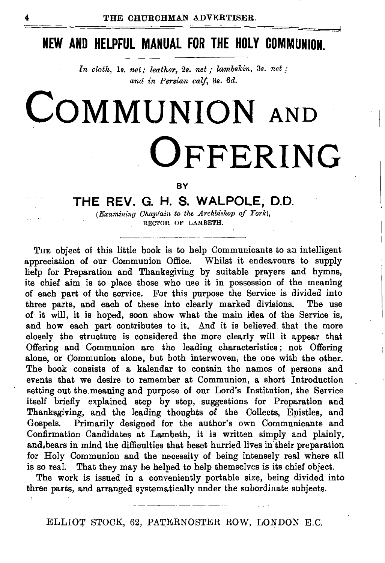### **NEW AND HELPFUL MANUAL FOR THE HOLY COMMUNION.**

In cloth, 1s. net; leather, 2s. net; lambskin, 3s. net; *and in Persian calf,* 3s. *6d.* 

# **COMMUNION** AND **OFFERING**

#### **BY**

### **THE REV. G. H. S. WALPOLE, D.O.**

*(Examining Chaplain to the Archbishop of York),* RECTOR OF LAMBETH.

THE object of this little book is to help Communicants to an intelligent appreciation of our Communion Office. Whilst it endeavours to supply help for Preparation and Thanksgiving by suitable prayers and hymns, its chief aim is to place those who use it in possession of the meaning of each part of the service. For this purpose the Service is divided into three parts, and each of these into clearly marked divisions. The use of it will, it is hoped, soon show what the main idea of the Service is, and how each part contributes to it. And it is believed that the more closely the structure is considered the more clearly will it appear that Offering and Communion are the leading characteristics ; not Offering alone, or Communion alone, but both interwoven, the one with the other. The book consists of a kalendar to contain the names of persons and events that we desire to remember at Communion, a short Introduction setting out the. meaning and purpose of our Lord's Institution, the Service itself briefly explained step by step, suggestions for Preparation and Thanksgiving, and the leading thoughts of the Collects, Epistles, and Gospels. Primarily designed for the author's own Communicants and Confirmation Candidates at Lambeth, it is written simply and plainly, and, bears in mind the difficulties that beset hurried lives in their preparation for Holy Communion and the necessity of being intensely real where all is so real. That they may be helped to help themselves is its chief object.

The work is issued in a conveniently portable size, being divided into three parts, and arranged systematically under the subordinate subjects.

ELLIOT STOCK, 62, PATERNOSTER ROW, LONDON E.C.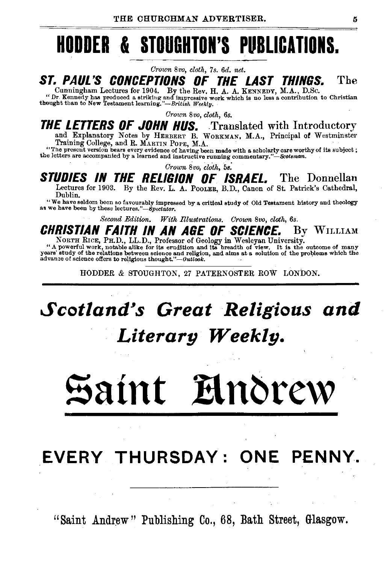## **HODDER & STOUGHTON'S PUBLICATIONS.**

*Crown 8vo, cloth,* 7 *s. 6d. net.* 

### **ST. PAUL'S CONCEPTIONS OF THE LAST THINGS.** The Cunningham Lectures for 1904. By the Rev. H. A. A. KENNEDY, M.A., D.Sc.

Curring moderate Leonard on 1 over. We use the second of the second of the Curring and impressive work which is no less a contribution to Christian thought than to New Testament learning."-British Weekly.

*Grown 8vo, cloth, 6s.* 

#### **THE LETTERS OF JOHN HUS.** Translated with Introductory and Explanatory Notes by HERBERT B. WoRKMAN, M.A., Principal of Westminster

Training College, and R. MARTIN POPE, M.A.<br>"The present version bears every evidence of having been made with a scholarly care worthy of its subject;<br>the letters are accompanied by a learned and instructive running comment

*Crown 8vo, cloth,* 5a:

### **STUDIES IN THE RELIGION OF ISRAEL.** The Donnellan

Lectures for 1903. By the Rev. L. A. PooLER, B.D., Canon of St. Patrick's Cathedral,

Dublin. "We have seldom been so favourably Impressed by a critical study of Old Testament history and theology a9 we have been by these *lectures."-Spectator.* 

*Second Edition. 1Vith fllustrations. Crown 8vo, cloth, 6s.* 

**CHRISTIAN FAITH IN AN AGE OF SCIENCE.** By WILLIAM NORTH RICE, PH.D., LL.D., Professor of Geology in Wesleyan University.

A powerful work, notable alite for its erudition and its bready of view. It is the outcome of many<br>years' study of the relations between science and religion, and alms at a solution of the problems which the<br>advance of sci

HODDER & STOUGHTON, 27 PATERNOSTER ROW LONDON.

### *Scotland,s Great Religious and Literary Weekly.*

# Saint **Elnorew**

### **EVERY THURSDAY: ONE PENNY.**

"Saint Andrew" Publishing Co., 68, Bath Street, Glasgow.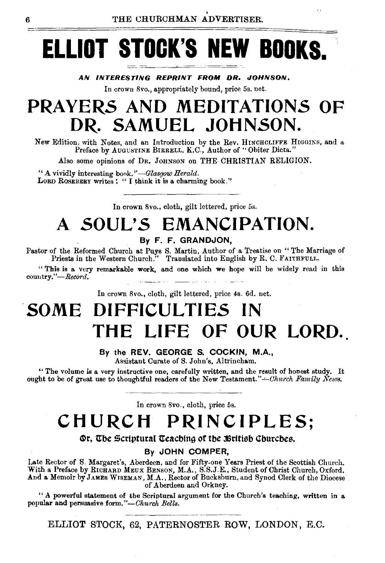# **ELLIOT STOCK'S NEW BOOKS.**

AN INTERESTING REPRINT FROM DR. JOHNSON,

In crown Svo., appropriately bound, price 5s. net.

### **PRAYERS AND MEDITATIONS OF DR. SAMUEL JOHNSON.**

New Edition, with Notes, and an Introduction by the Rev. HINCHCLIFFE HIGGINS, and a Preface by AUGUSTINE BIRRELL, K.C., Author of "Obiter Dicta."

Also some opinions of DR. JOHNSON on THE CHRISTIAN RELIGION.

"A vividly interesting book.'' *-Glasgow Herald.*  LORD ROSEBERY writes : " I think it is a charming book."

In crown 8vo., cloth, gilt lettered, price 5s.

### **A SOUL'S EMANCIPATION.**

By F. F. GRANDJON,

Pastor of the Reformed Church at Puys S. Martin, Author of a Treatise on " The Marriage of Priests in the Western Church." Translated into English by R. C. FAITHFULH.

" This is a very remarkable work, and one which we hope will be widely read in this country."-Record.

In crown 8vo., cloth, gilt lettered, price 4s. 6d. net.

### . **SOME DIFFICULTIES IN**  THE LIFE OF OUR LORD.

#### By the REV. GEORGE S. COCKIN, M.A.,

Assistant Curate of S. John's, Altrincham.

"The volume is a very instructive one, carefully written, and the result of honest study. It ought to be of great use to thoughtful readers of the New Testament."-Church Family News.

In crown 8vo., cloth, price 5s.

### **CHURCH PRINCIPLES;**

Or, The Scriptural Teaching of the British Churches.

#### By JOHN COMPER,

Late Rector of S. Margaret's, Aberdeen, and for Fifty-one-Years Priest of the Scottish Church.<br>With a Preface by RICHARD MEUX BENSON, M.A., S.S.J.E., Student of Christ Church, Oxford.<br>And a Memoir by JAMES WISEMAN, M.A., R of Aberdeen and Orkney.

"A powerful statement of the Scriptural argument for the Church's teaching, written in a popular and persuasive form."-Church Bells.

ELLIOT STOCK, 62, PATERNOSTER ROW, LONDON, E.C.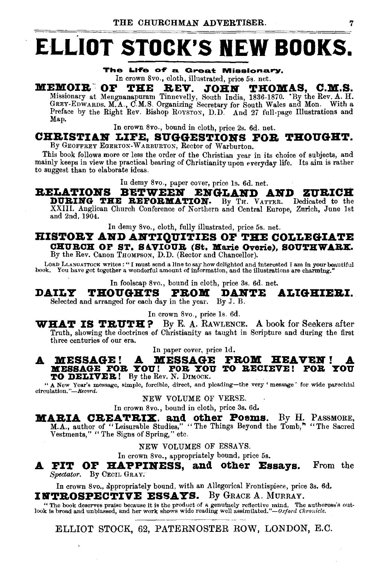# **ELLIOT STOCK'S NEW BOOKS.**

The Life of a Great Missionary,

### In crown 8vo., cloth, illustrated, price 5s. net.<br>**MEMOIR OF THE REV. JOHN THO** MEMOIR<sup>-</sup> OF THE REV. JOHN THOMAS, C.M.S. Missionary at Mengnanapuram Tinnevelly, South India, 1836-1870. 'By the Rev. A. H.

GREY-EDWARDS. M.A., C.M.S. Organizing Secretary for South Wales and Mon. With a<br>Preface by the Right Rev. Bishop Roystox, D.D. And 27 full-page Illustrations and Map.

In crown 8vo., bound in cloth, price 2s. 6d. net.

#### CHRISTIAN LIFE. SUGGESTIONS FOR THOUGHT.

By GEOFFREY EGERTON-WARBURTON, Rector of Warburton.

This book follows more or less the order of the Christian year in its choice of subjects, and mainly keeps in view the practical bearing of Christianity upon everyday life. Its aim is rather to suggest than to elaborate ideas.

In demy 8vo., paper cover, price ls. 6d. net.

#### RELATIONS BETWEEN ENGLAND AND ZURICH **DURING THE REFORMATION.** By TH. VATTER. Dedicated to the

XXIII. Anglican Church Conference of Northern and Central Europe, Zurich, June lst and 2nd, 1904.

In demy 8vo., cloth, fully illustrated, price 5s. net.

### HISTORY AND ANTIQUITIES OF THE COLLEGIATE CHURCH OF ST. SAVIOUR (St. Marie Overie), SOUTHWARK.<br>By the Rev. Canon THOMPSON, D.D. (Rector and Chancellor).

Loan LLANO ATTOCK writes:" I must send a line to say how delighted and Interested I am in your beautiful book. You have got together a wonderful amount of information, and the illustrations are charming."

In foolscap 8vo., bound in cloth, price 3s. 6d. net.

DAILY THOUGHTS FROM DANTE ALIGHIERI. Selected and arranged for each day in the year. By J. B.

In crown 8vo., price ls. 6d.

**WHAT IS TRUTH?** By E. A. RAWLENCE. A book for Seekers after Truth, showing the doctrines of Christianity as taught in Scripture and during the first three centuries of our era.

In paper cover, price ld.

# A MESSAGE! A MESSAGE FROM HEAVEN! A MESSAGE FOR YOU! FOR YOU TO BECIEVE! FOR YOU

TO DBLIVBB.! By the Rev. N. DIMOCK. "A New Year's message, simple, forcible, direct, and pleading-the very' message' for wide parachial circulation. *''-ReciYrd.* 

NEW VOLUME OF VERSE.

In crown 8vo., bound in cloth, price 3s. 6d.

MARIA CREATRIX. and other Poems. By H. PASSMORE, M.A., author of "Leisurable Studies," "The Things Beyond the Tomb," "The Sacred Vestments," "The Signs of Spring," etc.

NEW VOLUMES OF ESSAYS.

In crown 8vo., appropriately bound, price 5s.

 $\blacktriangle$  FIT OF HAPPINESS, and other Essays. From the *Spectator.* By CECIL GRAY;

In crown 8vo., appropriately bound, with an Allegorical Frontispiece, price 3s. 6d. INTROSPECTIVE ESSAYS. By GRACE A. MURRAY.

~~--~~--~-------

" The book deserves praise because it is the product of a genuinely reflective mind. The authoress's out-<br>look is broad and unbiassed, and her work shows wide reading well assimilated."-Oxford Chronicle.

ELLIOT STOCK, 62, PATERNOSTER ROW, LONDON, E.C.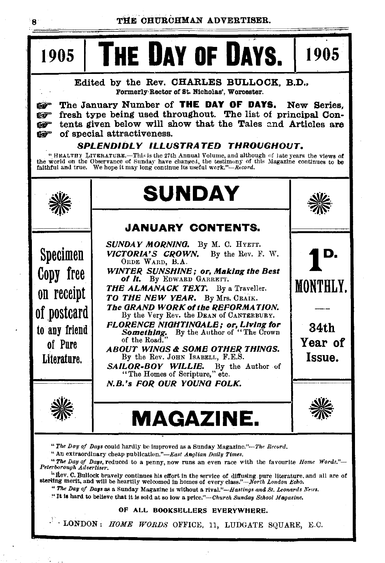#### THE CHURCHMAN ADVERTISER.

1905

 $\bf{a}$ 

1905

he Day of Days.

Edited by the Rev. CHARLES BULLOCK. B.D., Formerly Rector of St. Nicholas', Worcester.

The January Number of THE DAY OF DAYS. New Series. ra fresh type being used throughout. The list of principal Conna™ tents given below will show that the Tales and Articles are tici<sup>co</sup> of special attractiveness. **Ray** 

#### SPLENDIDLY ILLUSTRATED THROUGHOUT.

"HEALTHY LITERATURE.—This is the 27th Annual Volume, and although of late years the views of the world on the Observance of Sunday have changed, the testimony of this Magazine continues to be faithful and true. We hope it



"The Day of Days could hardly be improved as a Sunday Magazine."-The Record.

" An extraordinary cheap publication."-East Anglian Daily Times.

"The Day of Days, reduced to a penny, now runs an even race with the favourite Home Words."-Peterborough Advertiser.

" Hev. C. Bullock bravely continues his effort in the service of diffusing pure literature, and all are of sterling merit, and will be heartily welcomed in homes of every class."-North London Echo.

" The Day of Days as a Sunday Magazine is without a rival."-Hastings and St. Leonards News.

"It is hard to believe that it is sold at so low a price."-Church Sunday School Magazine.

#### OF ALL BOOKSELLERS EVERYWHERE.

· LONDON: HOME WORDS OFFICE, 11, LUDGATE SQUARE, E.C.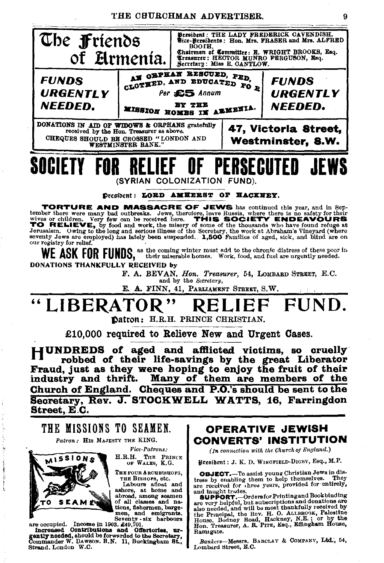THE CHURCHMAN ADVERTISER.





Ì

**Fice-Patrons:** 

H.R.H. THE PRINCE OF WALES, K.G.

THE FOUR ARCHBISHOPS, THE BISHOPS, etc.

Labours aftest and<br>ashore, at home and<br>abroad, among seamen of all classes and na-

TO SEAMEN closes and narrow the second narrow of the second contributions determined and emigrants.<br>
ment and emigrants.<br>
The computed contributions and Offstroftes, uncerased contributions and Offstroftes.<br>
Increased of t Strand, London W.C.

### **CONVERTS' INSTITUTION**

(In connection with the Church of England.)

President : J. K. D. WINGFIELD-DIGBY, Esq., M.P.

**OBJECT.**-To assist young Christian Jews in distress by enabling them to help themselves. They are received for three years, provided for entirely, and taught trades.

anu Eaught trades.<br> **SUPPORT.**—Ordersfor Printing and Book binding<br> **SUPPORT.**—Ordersfor Printing and donations are<br>
also needed, and will be most thankfully received by<br>
the Pruncipal, the Rev. H. O. ALLBROOK, Palestine<br> Ramsgate.

Bankers-Messrs, BARCLAY & COMPANY, Ltd., 54, Lombard Street, E.C.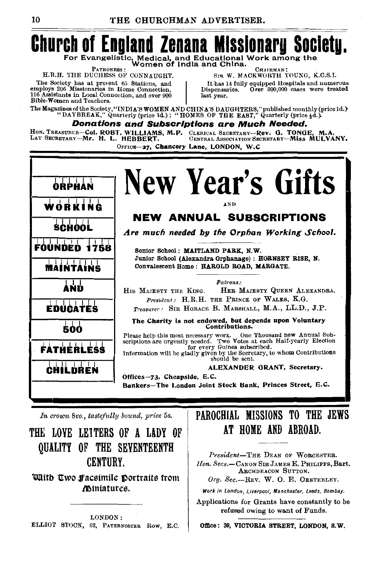### **Church of England Zenana M** For Evangelistic, Medical, and Educational Work among the<br>Women of India and China.

PATRONESS : H.R.H. THE DUCHESS OF CONNAUGHT.

The Society has at present 65 Stations, and employs 206 Missionaries in Home Connection, 116 Assistants in Local Connection, and over 900 Bible-Women and Teachers.

CHAIRMAN SIR W. MACKWORTH YOUNG, K.C.S.I.

It has 14 fully equipped Hospitals and numerous Dispensaries. Over 800,000 cases were treated last year.

The Magazines of the Society, "INDIA'S WOMEN AND CHINA'S DAUGHTERS," published monthly (price ld.) "DAYBREAK," Quarterly (price ld.); "HOMES OF THE EAST," Quarterly (price  $\frac{1}{2}d$ .)

Donations and Subscriptions are Much Needed.

HON, TREASURER-COI. ROBT, WILLIAMS, M.P. CLERICAL SECRETARY-Rev. G. TONGE, M.A.<br>LAY SECRETARY-Mr. H. L. HEBBERT. CENTRAL ASSOCIATION SECRETARY-MISS MULVANY. OFFICE-27, Chancery Lane, LONDON. W.C

**New Year's Gifts** WORKING **NEW ANNUAL SUBSCRIPTIONS** SCHOOL Are much needed by the Orphan Working School. ाग FOUNDED 1758 Senior School: MAITLAND PARK, N.W. Junior School (Alexandra Orphanage) : HORNSEY RISE, N.  $\overline{\phantom{0}}$ Convalescent Home: HAROLD ROAD, MARGATE. **MAINTAINS** Patrons . AND HIS MAJESTY THE KING. HER MAJESTY QUEEN ALEXANDBA. President: H.R.H. THE PRINCE OF WALES, K.G. Treasurer: SIR HORACE B. MARSHALL, M.A., LL.D., J.P. **EDUCATES** The Charity is not endowed, but depends upon Voluntary Contributions. 500 Please help this most necessary work. One Thousand new Annual Subscriptions are urgently needed. Two Votes at each Half-yearly Election **FATHERLESS** Information will be gladly given by the Secretary, to whom Contributions should be sent. ALEXANDER GRANT, Secretary. CHILDREN Offices-73, Cheapside, E.C. Bankers-The London Joint Stock Bank, Princes Street, E.C.

In crown 8vo., tastefully bound, price 5s.

THE LOVE LETTERS OF A LADY OF **OUALITY OF THE SEVENTEENTH** CENTURY.

With Two Facsimile Portraits from *Miniatures.* 

LONDON: ELLIOT STOCK, 62, PATERNOSTER ROW, E.C.

### PAROCHIAL MISSIONS TO THE JEWS AT HOME AND ABROAD.

President-The DEAN OF WORCESTER. Hon. Secs.-CANON SIR JAMES E. PHILIPPS. Bart. ARCHDEACON SUTTON.

Org. Sec.-REV. W. O. E. OESTERLEY.

Work in London, Liverpool, Manchester, Leeds, Bombay.

Applications for Grants have constantly to be refused owing to want of Funds.

Office: 39, VICTORIA STREET, LONDON, S.W.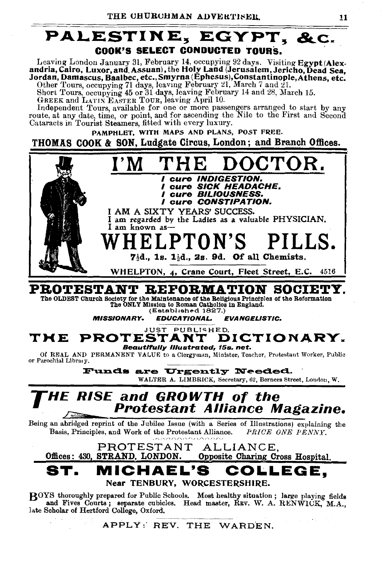

Leaving London January 31, February 14, occupying 92 days. Visiting Egypt (Alexandria, Cairo, Luxor, and Assuan), the Holy Land (Jerusalem, Jericho, Dead Sea. Jordan, Damascus, Baalbec, etc., Smyrna (Ephesus), Constantinople, Athens. etc.

Other Tours, occupying 71 days, leaving February 21, March 7 and 21.<br>Short Tours, occupying 45 or 31 days, leaving February 14 and 28, March 15.

GREEK and LATIN EASTER TOUR, leaving April 10.

Independent Tours, available for one or more passengers arranged to start by any route, at any date, time, or point, and for ascending the Nile to the First and Second Cataracts in Tourist Steamers, fitted with every luxury.

PAMPHLET, WITH MAPS AND PLANS, POST FREE.

THOMAS COOK & SON, Ludgate Circus, London; and Branch Offices.



### PROTESTANT REFORMATION SOCIETY.

The OLDEST Church Society for the Maintenance of the Religious Principles of the Reformation The ONLY Mission to Roman Catholios in England. (Established 1827.)

**MISSIONARY. EDUCATIONAL. EVANCELISTIC** 

JUST PUBLISHED. PROTESTANT DICTIONARY. TME **Beautifully Illustrated, 15s. net.** 

Of REAL AND PERMANENT VALUE to a Clergyman, Minister, Teacher, Protestant Worker, Public or Parochial Library.

> Funds are Urgently Needed. WALTER A. LIMBRICK, Secretary, 62, Berners Street, London, W.

### **HE RISE and GROWTH of the** Protestant Alliance Magazine.

Being an abridged reprint of the Jubilee Issue (with a Series of Illustrations) explaining the Basis, Principles, and Work of the Protestant Alliance. PRICE ONE PENNY.

PROTESTANT ALLIANCE. Offices: 430. STRAND. LONDON. Opposite Charing Cross Hospital. ST. MICHAEL'S LLEGE. Near TENBURY, WORCESTERSHIRE.

BOYS thoroughly prepared for Public Schools. Most healthy situation; large playing fields and Fives Courts; separate cubicles. Head master, REV. W. A. RENWICK, M.A., late Scholar of Hertford College, Oxford.

APPLY: REV. THE WARDEN.